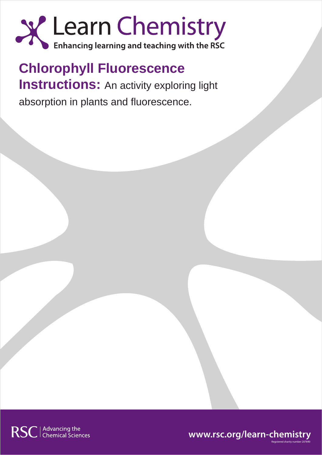

**Chlorophyll Fluorescence Instructions:** An activity exploring light absorption in plants and fluorescence.





Registered charity number 207890